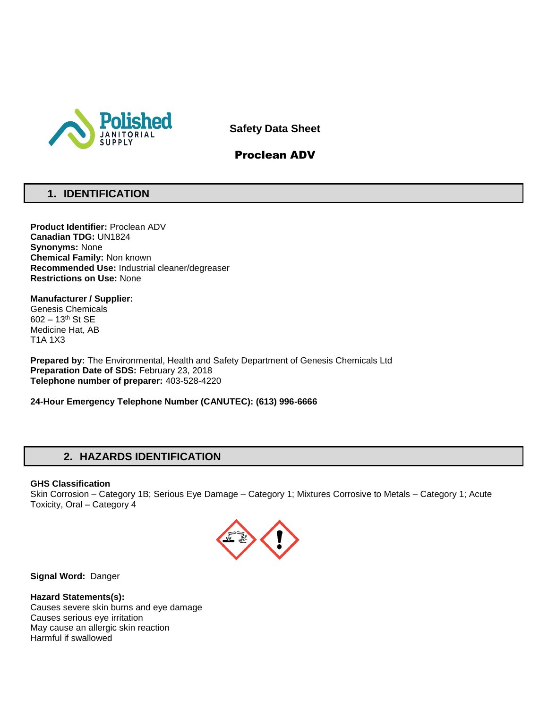

**Safety Data Sheet**

# Proclean ADV

# **1. IDENTIFICATION**

**Product Identifier:** Proclean ADV **Canadian TDG:** UN1824 **Synonyms:** None **Chemical Family:** Non known **Recommended Use:** Industrial cleaner/degreaser **Restrictions on Use:** None

**Manufacturer / Supplier:** Genesis Chemicals 602 – 13th St SE Medicine Hat, AB T1A 1X3

**Prepared by:** The Environmental, Health and Safety Department of Genesis Chemicals Ltd **Preparation Date of SDS:** February 23, 2018 **Telephone number of preparer:** 403-528-4220

**24-Hour Emergency Telephone Number (CANUTEC): (613) 996-6666**

# **2. HAZARDS IDENTIFICATION**

### **GHS Classification**

Skin Corrosion – Category 1B; Serious Eye Damage – Category 1; Mixtures Corrosive to Metals – Category 1; Acute Toxicity, Oral – Category 4



**Signal Word:** Danger

### **Hazard Statements(s):**

Causes severe skin burns and eye damage Causes serious eye irritation May cause an allergic skin reaction Harmful if swallowed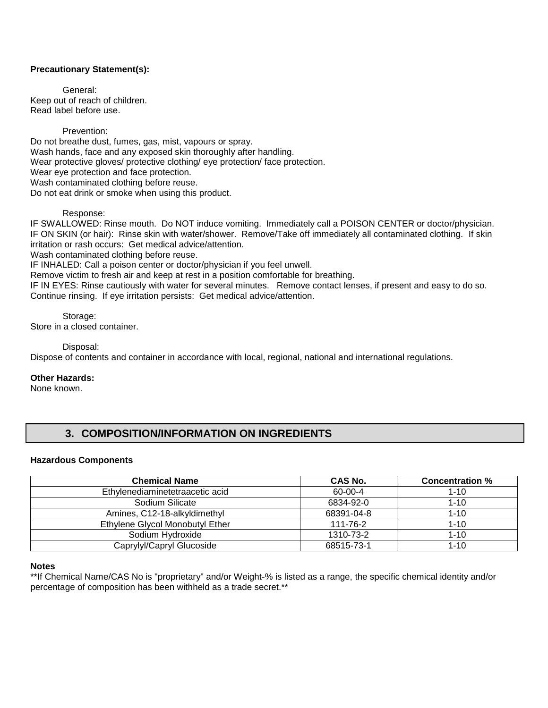### **Precautionary Statement(s):**

General: Keep out of reach of children. Read label before use.

#### Prevention:

Do not breathe dust, fumes, gas, mist, vapours or spray. Wash hands, face and any exposed skin thoroughly after handling. Wear protective gloves/ protective clothing/ eye protection/ face protection. Wear eye protection and face protection. Wash contaminated clothing before reuse. Do not eat drink or smoke when using this product.

#### Response:

IF SWALLOWED: Rinse mouth. Do NOT induce vomiting. Immediately call a POISON CENTER or doctor/physician. IF ON SKIN (or hair): Rinse skin with water/shower. Remove/Take off immediately all contaminated clothing. If skin irritation or rash occurs: Get medical advice/attention.

Wash contaminated clothing before reuse.

IF INHALED: Call a poison center or doctor/physician if you feel unwell.

Remove victim to fresh air and keep at rest in a position comfortable for breathing.

IF IN EYES: Rinse cautiously with water for several minutes. Remove contact lenses, if present and easy to do so. Continue rinsing. If eye irritation persists: Get medical advice/attention.

Storage: Store in a closed container.

Disposal:

Dispose of contents and container in accordance with local, regional, national and international regulations.

### **Other Hazards:**

None known.

# **3. COMPOSITION/INFORMATION ON INGREDIENTS**

#### **Hazardous Components**

| <b>Chemical Name</b>            | <b>CAS No.</b> | <b>Concentration %</b> |
|---------------------------------|----------------|------------------------|
| Ethylenediaminetetraacetic acid | 60-00-4        | $1 - 10$               |
| Sodium Silicate                 | 6834-92-0      | $1 - 10$               |
| Amines, C12-18-alkyldimethyl    | 68391-04-8     | $1 - 10$               |
| Ethylene Glycol Monobutyl Ether | $111 - 76 - 2$ | $1 - 10$               |
| Sodium Hydroxide                | 1310-73-2      | $1 - 10$               |
| Caprylyl/Capryl Glucoside       | 68515-73-1     | $1 - 10$               |

#### **Notes**

\*\*If Chemical Name/CAS No is "proprietary" and/or Weight-% is listed as a range, the specific chemical identity and/or percentage of composition has been withheld as a trade secret.\*\*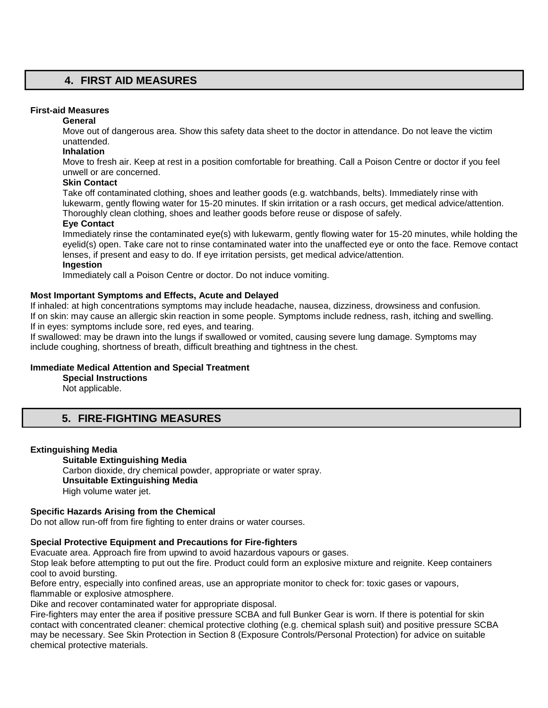## **4. FIRST AID MEASURES**

### **First-aid Measures**

#### **General**

Move out of dangerous area. Show this safety data sheet to the doctor in attendance. Do not leave the victim unattended.

### **Inhalation**

Move to fresh air. Keep at rest in a position comfortable for breathing. Call a Poison Centre or doctor if you feel unwell or are concerned.

### **Skin Contact**

Take off contaminated clothing, shoes and leather goods (e.g. watchbands, belts). Immediately rinse with lukewarm, gently flowing water for 15-20 minutes. If skin irritation or a rash occurs, get medical advice/attention. Thoroughly clean clothing, shoes and leather goods before reuse or dispose of safely.

### **Eye Contact**

Immediately rinse the contaminated eye(s) with lukewarm, gently flowing water for 15-20 minutes, while holding the eyelid(s) open. Take care not to rinse contaminated water into the unaffected eye or onto the face. Remove contact lenses, if present and easy to do. If eye irritation persists, get medical advice/attention.

### **Ingestion**

Immediately call a Poison Centre or doctor. Do not induce vomiting.

### **Most Important Symptoms and Effects, Acute and Delayed**

If inhaled: at high concentrations symptoms may include headache, nausea, dizziness, drowsiness and confusion. If on skin: may cause an allergic skin reaction in some people. Symptoms include redness, rash, itching and swelling. If in eyes: symptoms include sore, red eyes, and tearing.

If swallowed: may be drawn into the lungs if swallowed or vomited, causing severe lung damage. Symptoms may include coughing, shortness of breath, difficult breathing and tightness in the chest.

### **Immediate Medical Attention and Special Treatment**

**Special Instructions** 

Not applicable.

# **5. FIRE-FIGHTING MEASURES**

### **Extinguishing Media**

**Suitable Extinguishing Media** Carbon dioxide, dry chemical powder, appropriate or water spray. **Unsuitable Extinguishing Media**  High volume water jet.

### **Specific Hazards Arising from the Chemical**

Do not allow run-off from fire fighting to enter drains or water courses.

### **Special Protective Equipment and Precautions for Fire-fighters**

Evacuate area. Approach fire from upwind to avoid hazardous vapours or gases.

Stop leak before attempting to put out the fire. Product could form an explosive mixture and reignite. Keep containers cool to avoid bursting.

Before entry, especially into confined areas, use an appropriate monitor to check for: toxic gases or vapours, flammable or explosive atmosphere.

Dike and recover contaminated water for appropriate disposal.

Fire-fighters may enter the area if positive pressure SCBA and full Bunker Gear is worn. If there is potential for skin contact with concentrated cleaner: chemical protective clothing (e.g. chemical splash suit) and positive pressure SCBA may be necessary. See Skin Protection in Section 8 (Exposure Controls/Personal Protection) for advice on suitable chemical protective materials.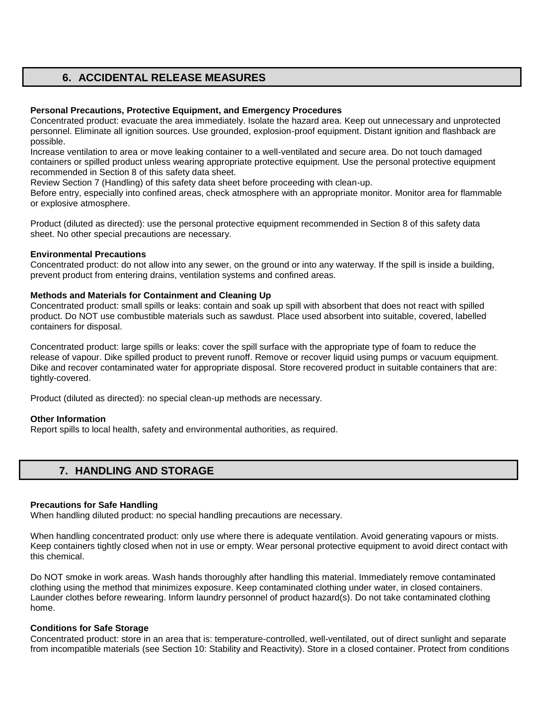# **6. ACCIDENTAL RELEASE MEASURES**

### **Personal Precautions, Protective Equipment, and Emergency Procedures**

Concentrated product: evacuate the area immediately. Isolate the hazard area. Keep out unnecessary and unprotected personnel. Eliminate all ignition sources. Use grounded, explosion-proof equipment. Distant ignition and flashback are possible.

Increase ventilation to area or move leaking container to a well-ventilated and secure area. Do not touch damaged containers or spilled product unless wearing appropriate protective equipment. Use the personal protective equipment recommended in Section 8 of this safety data sheet.

Review Section 7 (Handling) of this safety data sheet before proceeding with clean-up.

Before entry, especially into confined areas, check atmosphere with an appropriate monitor. Monitor area for flammable or explosive atmosphere.

Product (diluted as directed): use the personal protective equipment recommended in Section 8 of this safety data sheet. No other special precautions are necessary.

### **Environmental Precautions**

Concentrated product: do not allow into any sewer, on the ground or into any waterway. If the spill is inside a building, prevent product from entering drains, ventilation systems and confined areas.

### **Methods and Materials for Containment and Cleaning Up**

Concentrated product: small spills or leaks: contain and soak up spill with absorbent that does not react with spilled product. Do NOT use combustible materials such as sawdust. Place used absorbent into suitable, covered, labelled containers for disposal.

Concentrated product: large spills or leaks: cover the spill surface with the appropriate type of foam to reduce the release of vapour. Dike spilled product to prevent runoff. Remove or recover liquid using pumps or vacuum equipment. Dike and recover contaminated water for appropriate disposal. Store recovered product in suitable containers that are: tightly-covered.

Product (diluted as directed): no special clean-up methods are necessary.

### **Other Information**

Report spills to local health, safety and environmental authorities, as required.

### **7. HANDLING AND STORAGE**

#### **Precautions for Safe Handling**

When handling diluted product: no special handling precautions are necessary.

When handling concentrated product: only use where there is adequate ventilation. Avoid generating vapours or mists. Keep containers tightly closed when not in use or empty. Wear personal protective equipment to avoid direct contact with this chemical.

Do NOT smoke in work areas. Wash hands thoroughly after handling this material. Immediately remove contaminated clothing using the method that minimizes exposure. Keep contaminated clothing under water, in closed containers. Launder clothes before rewearing. Inform laundry personnel of product hazard(s). Do not take contaminated clothing home.

### **Conditions for Safe Storage**

Concentrated product: store in an area that is: temperature-controlled, well-ventilated, out of direct sunlight and separate from incompatible materials (see Section 10: Stability and Reactivity). Store in a closed container. Protect from conditions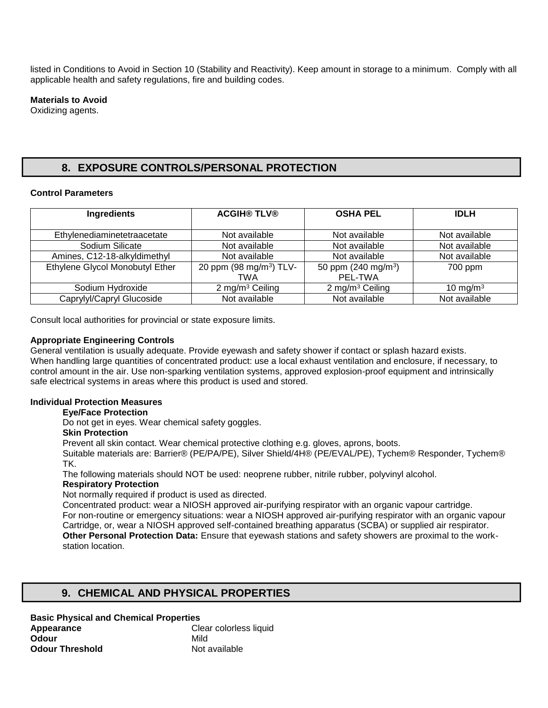listed in Conditions to Avoid in Section 10 (Stability and Reactivity). Keep amount in storage to a minimum. Comply with all applicable health and safety regulations, fire and building codes.

### **Materials to Avoid**

Oxidizing agents.

# **8. EXPOSURE CONTROLS/PERSONAL PROTECTION**

### **Control Parameters**

| <b>Ingredients</b>              | <b>ACGIH® TLV®</b>                         | <b>OSHA PEL</b>                          | <b>IDLH</b>   |
|---------------------------------|--------------------------------------------|------------------------------------------|---------------|
| Ethylenediaminetetraacetate     | Not available                              | Not available                            | Not available |
| Sodium Silicate                 | Not available                              | Not available                            | Not available |
| Amines, C12-18-alkyldimethyl    | Not available                              | Not available                            | Not available |
| Ethylene Glycol Monobutyl Ether | 20 ppm (98 mg/m <sup>3</sup> ) TLV-<br>TWA | 50 ppm $(240 \text{ mg/m}^3)$<br>PEL-TWA | 700 ppm       |
| Sodium Hydroxide                | 2 mg/m <sup>3</sup> Ceiling                | 2 mg/m <sup>3</sup> Ceiling              | 10 mg/m $3$   |
| Caprylyl/Capryl Glucoside       | Not available                              | Not available                            | Not available |

Consult local authorities for provincial or state exposure limits.

### **Appropriate Engineering Controls**

General ventilation is usually adequate. Provide eyewash and safety shower if contact or splash hazard exists. When handling large quantities of concentrated product: use a local exhaust ventilation and enclosure, if necessary, to control amount in the air. Use non-sparking ventilation systems, approved explosion-proof equipment and intrinsically safe electrical systems in areas where this product is used and stored.

### **Individual Protection Measures**

### **Eye/Face Protection**

Do not get in eyes. Wear chemical safety goggles.

### **Skin Protection**

Prevent all skin contact. Wear chemical protective clothing e.g. gloves, aprons, boots.

Suitable materials are: Barrier® (PE/PA/PE), Silver Shield/4H® (PE/EVAL/PE), Tychem® Responder, Tychem® TK.

The following materials should NOT be used: neoprene rubber, nitrile rubber, polyvinyl alcohol.

### **Respiratory Protection**

Not normally required if product is used as directed.

Concentrated product: wear a NIOSH approved air-purifying respirator with an organic vapour cartridge. For non-routine or emergency situations: wear a NIOSH approved air-purifying respirator with an organic vapour Cartridge, or, wear a NIOSH approved self-contained breathing apparatus (SCBA) or supplied air respirator. **Other Personal Protection Data:** Ensure that eyewash stations and safety showers are proximal to the workstation location.

# **9. CHEMICAL AND PHYSICAL PROPERTIES**

### **Basic Physical and Chemical Properties**

**Appearance Clear colorless liquid Odour** Mild **Odour Threshold** Not available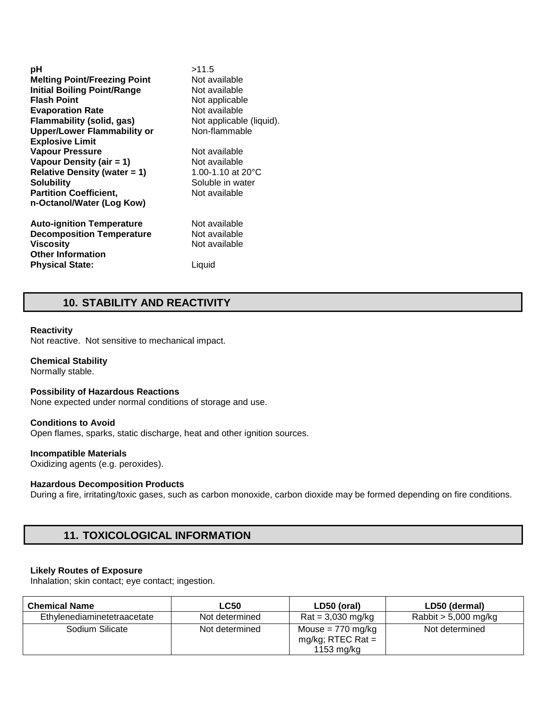| рH                                  | >11.5                        |
|-------------------------------------|------------------------------|
| <b>Melting Point/Freezing Point</b> | Not available                |
| <b>Initial Boiling Point/Range</b>  | Not available                |
| <b>Flash Point</b>                  | Not applicable               |
| <b>Evaporation Rate</b>             | Not available                |
| <b>Flammability (solid, gas)</b>    | Not applicable (liquid).     |
| <b>Upper/Lower Flammability or</b>  | Non-flammable                |
| <b>Explosive Limit</b>              |                              |
| <b>Vapour Pressure</b>              | Not available                |
| Vapour Density (air = 1)            | Not available                |
| <b>Relative Density (water = 1)</b> | 1.00-1.10 at 20 $^{\circ}$ C |
| Solubility                          | Soluble in water             |
| <b>Partition Coefficient,</b>       | Not available                |
| n-Octanol/Water (Log Kow)           |                              |
| <b>Auto-ignition Temperature</b>    | Not available                |
| <b>Decomposition Temperature</b>    | Not available                |
| Viscosity                           | Not available                |
| <b>Other Information</b>            |                              |
| <b>Physical State:</b>              | Liquid                       |

## **10. STABILITY AND REACTIVITY**

### **Reactivity**

Not reactive. Not sensitive to mechanical impact.

### **Chemical Stability**

Normally stable.

#### **Possibility of Hazardous Reactions**

None expected under normal conditions of storage and use.

#### **Conditions to Avoid**

Open flames, sparks, static discharge, heat and other ignition sources.

#### **Incompatible Materials**

Oxidizing agents (e.g. peroxides).

### **Hazardous Decomposition Products**

During a fire, irritating/toxic gases, such as carbon monoxide, carbon dioxide may be formed depending on fire conditions.

# **11. TOXICOLOGICAL INFORMATION**

### **Likely Routes of Exposure**

Inhalation; skin contact; eye contact; ingestion.

| <b>Chemical Name</b>        | <b>LC50</b>    | LD50 (oral)                                                | LD50 (dermal)          |
|-----------------------------|----------------|------------------------------------------------------------|------------------------|
| Ethylenediaminetetraacetate | Not determined | $\text{Rat} = 3,030 \text{ mg/kg}$                         | Rabbit $> 5,000$ mg/kg |
| Sodium Silicate             | Not determined | Mouse = $770$ mg/kg<br>mg/kg; RTEC Rat $=$<br>1153 $mg/kg$ | Not determined         |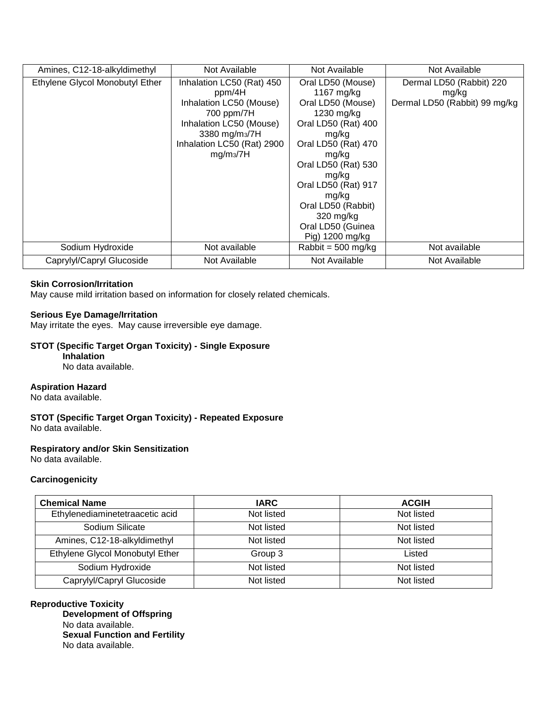| Amines, C12-18-alkyldimethyl    | Not Available              | Not Available                | Not Available                 |
|---------------------------------|----------------------------|------------------------------|-------------------------------|
| Ethylene Glycol Monobutyl Ether | Inhalation LC50 (Rat) 450  | Oral LD50 (Mouse)            | Dermal LD50 (Rabbit) 220      |
|                                 | ppm/4H                     | 1167 mg/kg                   | mg/kg                         |
|                                 | Inhalation LC50 (Mouse)    | Oral LD50 (Mouse)            | Dermal LD50 (Rabbit) 99 mg/kg |
|                                 | 700 ppm/7H                 | 1230 mg/kg                   |                               |
|                                 | Inhalation LC50 (Mouse)    | Oral LD50 (Rat) 400          |                               |
|                                 | 3380 mg/m <sub>3</sub> /7H | mg/kg                        |                               |
|                                 | Inhalation LC50 (Rat) 2900 | Oral LD50 (Rat) 470          |                               |
|                                 | mg/m <sub>3</sub> /7H      | mg/kg                        |                               |
|                                 |                            | Oral LD50 (Rat) 530          |                               |
|                                 |                            | mg/kg                        |                               |
|                                 |                            | Oral LD50 (Rat) 917          |                               |
|                                 |                            | mg/kg                        |                               |
|                                 |                            | Oral LD50 (Rabbit)           |                               |
|                                 |                            | 320 mg/kg                    |                               |
|                                 |                            | Oral LD50 (Guinea            |                               |
|                                 |                            | Pig) 1200 mg/kg              |                               |
| Sodium Hydroxide                | Not available              | Rabbit = $500 \text{ mg/kg}$ | Not available                 |
| Caprylyl/Capryl Glucoside       | Not Available              | Not Available                | Not Available                 |

### **Skin Corrosion/Irritation**

May cause mild irritation based on information for closely related chemicals.

### **Serious Eye Damage/Irritation**

May irritate the eyes. May cause irreversible eye damage.

### **STOT (Specific Target Organ Toxicity) - Single Exposure**

### **Inhalation**

No data available.

#### **Aspiration Hazard**

No data available.

**STOT (Specific Target Organ Toxicity) - Repeated Exposure**  No data available.

### **Respiratory and/or Skin Sensitization**

No data available.

### **Carcinogenicity**

| <b>Chemical Name</b>            | <b>IARC</b> | <b>ACGIH</b> |
|---------------------------------|-------------|--------------|
| Ethylenediaminetetraacetic acid | Not listed  | Not listed   |
| Sodium Silicate                 | Not listed  | Not listed   |
| Amines, C12-18-alkyldimethyl    | Not listed  | Not listed   |
| Ethylene Glycol Monobutyl Ether | Group 3     | Listed       |
| Sodium Hydroxide                | Not listed  | Not listed   |
| Caprylyl/Capryl Glucoside       | Not listed  | Not listed   |

### **Reproductive Toxicity**

**Development of Offspring**  No data available. **Sexual Function and Fertility**  No data available.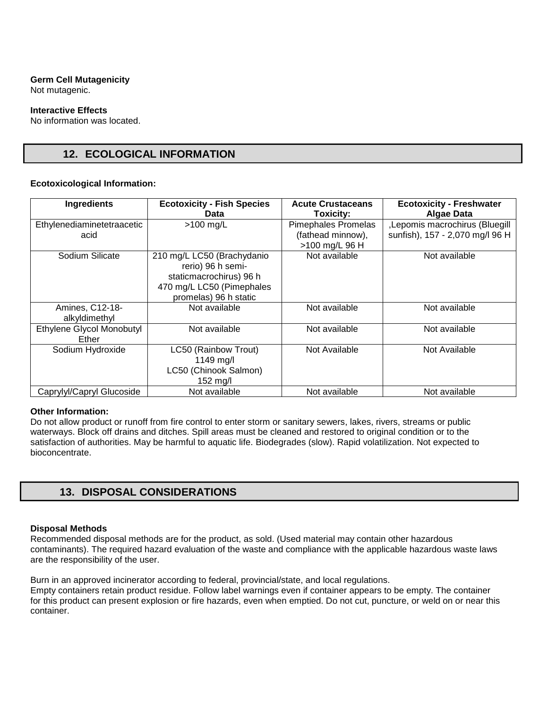# **Germ Cell Mutagenicity**

Not mutagenic.

### **Interactive Effects**

No information was located.

# **12. ECOLOGICAL INFORMATION**

### **Ecotoxicological Information:**

| Ingredients                        | <b>Ecotoxicity - Fish Species</b><br>Data                                                                                        | <b>Acute Crustaceans</b><br><b>Toxicity:</b>                      | <b>Ecotoxicity - Freshwater</b><br><b>Algae Data</b>              |
|------------------------------------|----------------------------------------------------------------------------------------------------------------------------------|-------------------------------------------------------------------|-------------------------------------------------------------------|
| Ethylenediaminetetraacetic<br>acid | $>100$ mg/L                                                                                                                      | <b>Pimephales Promelas</b><br>(fathead minnow),<br>>100 mg/L 96 H | ,Lepomis macrochirus (Bluegill<br>sunfish), 157 - 2,070 mg/l 96 H |
| Sodium Silicate                    | 210 mg/L LC50 (Brachydanio<br>rerio) 96 h semi-<br>staticmacrochirus) 96 h<br>470 mg/L LC50 (Pimephales<br>promelas) 96 h static | Not available                                                     | Not available                                                     |
| Amines, C12-18-<br>alkyldimethyl   | Not available                                                                                                                    | Not available                                                     | Not available                                                     |
| Ethylene Glycol Monobutyl<br>Ether | Not available                                                                                                                    | Not available                                                     | Not available                                                     |
| Sodium Hydroxide                   | LC50 (Rainbow Trout)<br>1149 mg/l<br>LC50 (Chinook Salmon)<br>152 $mg/l$                                                         | Not Available                                                     | Not Available                                                     |
| Caprylyl/Capryl Glucoside          | Not available                                                                                                                    | Not available                                                     | Not available                                                     |

### **Other Information:**

Do not allow product or runoff from fire control to enter storm or sanitary sewers, lakes, rivers, streams or public waterways. Block off drains and ditches. Spill areas must be cleaned and restored to original condition or to the satisfaction of authorities. May be harmful to aquatic life. Biodegrades (slow). Rapid volatilization. Not expected to bioconcentrate.

# **13. DISPOSAL CONSIDERATIONS**

### **Disposal Methods**

Recommended disposal methods are for the product, as sold. (Used material may contain other hazardous contaminants). The required hazard evaluation of the waste and compliance with the applicable hazardous waste laws are the responsibility of the user.

Burn in an approved incinerator according to federal, provincial/state, and local regulations. Empty containers retain product residue. Follow label warnings even if container appears to be empty. The container for this product can present explosion or fire hazards, even when emptied. Do not cut, puncture, or weld on or near this container.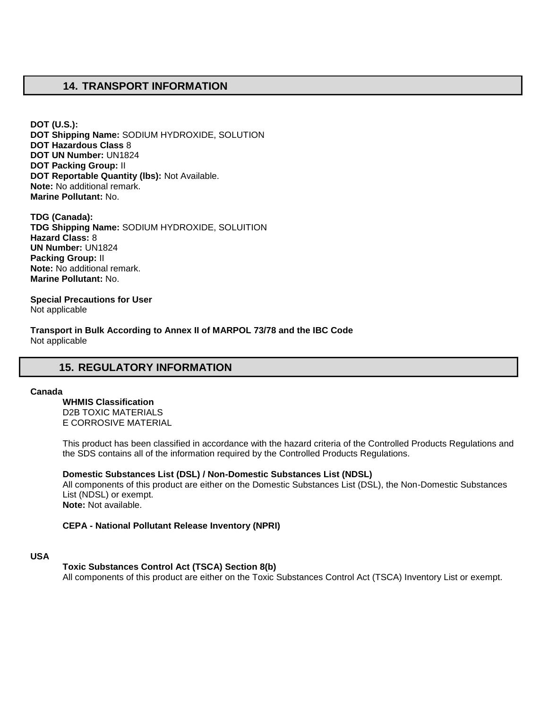## **14. TRANSPORT INFORMATION**

**DOT (U.S.): DOT Shipping Name:** SODIUM HYDROXIDE, SOLUTION **DOT Hazardous Class** 8 **DOT UN Number:** UN1824 **DOT Packing Group:** II **DOT Reportable Quantity (lbs):** Not Available. **Note:** No additional remark. **Marine Pollutant:** No.

**TDG (Canada): TDG Shipping Name:** SODIUM HYDROXIDE, SOLUITION **Hazard Class:** 8 **UN Number:** UN1824 **Packing Group:** II **Note:** No additional remark. **Marine Pollutant:** No.

**Special Precautions for User** Not applicable

**Transport in Bulk According to Annex II of MARPOL 73/78 and the IBC Code**  Not applicable

# **15. REGULATORY INFORMATION**

#### **Canada**

**WHMIS Classification**  D2B TOXIC MATERIALS E CORROSIVE MATERIAL

This product has been classified in accordance with the hazard criteria of the Controlled Products Regulations and the SDS contains all of the information required by the Controlled Products Regulations.

**Domestic Substances List (DSL) / Non-Domestic Substances List (NDSL)**  All components of this product are either on the Domestic Substances List (DSL), the Non-Domestic Substances List (NDSL) or exempt. **Note:** Not available.

### **CEPA - National Pollutant Release Inventory (NPRI)**

### **USA**

#### **Toxic Substances Control Act (TSCA) Section 8(b)**

All components of this product are either on the Toxic Substances Control Act (TSCA) Inventory List or exempt.